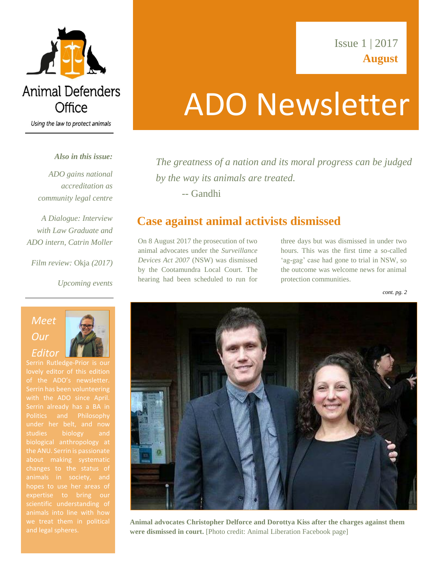

Using the law to protect animals

### *Also in this issue:*

*ADO gains national accreditation as community legal centre* 

*A Dialogue: Interview with Law Graduate and ADO intern, Catrin Moller*

*Film review:* Okja *(2017)*

*Upcoming events*

## ADO Newsletter

*The greatness of a nation and its moral progress can be judged by the way its animals are treated.*  -- Gandhi

### **Case against animal activists dismissed**

On 8 August 2017 the prosecution of two animal advocates under the *Surveillance Devices Act 2007* (NSW) was dismissed by the Cootamundra Local Court. The hearing had been scheduled to run for

three days but was dismissed in under two hours. This was the first time a so-called 'ag-gag' case had gone to trial in NSW, so the outcome was welcome news for animal protection communities.

*cont. pg. 2*



**Animal advocates Christopher Delforce and Dorottya Kiss after the charges against them were dismissed in court.** [Photo credit: Animal Liberation Facebook page]

### *Meet Our Editor*

Serrin Rutledge-Prior is our lovely editor of this edition of the ADO's newsletter. with the ADO since April. the ANU. Serrin is passionate animals in society, and hopes to use her areas of animals into line with how we treat them in political



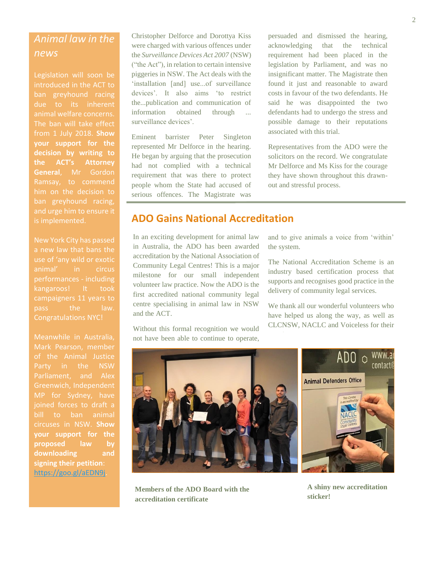### *Animal law in the news*

Legislation will soon be introduced in the ACT to due to its inherent animal welfare concerns. The ban will take effect from 1 July 2018. **Show your support for the decision by writing to the ACT's Attorney General**, Mr Gordon Ramsay, to commend him on the decision to is implemented.

New York City has passed a new law that bans the animal' in circus performances - including kangaroos! It took campaigners 11 years to pass the law.

Meanwhile in Australia, of the Animal Justice Party in the NSW Parliament, and Alex Greenwich, Independent bill to ban animal **your support for the proposed law by downloading and signing their petition**: [https://goo.gl/aEDN9j.](https://goo.gl/aEDN9j)

Christopher Delforce and Dorottya Kiss were charged with various offences under the *Surveillance Devices Act 2007* (NSW) ("the Act"), in relation to certain intensive piggeries in NSW. The Act deals with the 'installation [and] use...of surveillance devices'. It also aims 'to restrict the...publication and communication of information obtained through ... surveillance devices'.

Eminent barrister Peter Singleton represented Mr Delforce in the hearing. He began by arguing that the prosecution had not complied with a technical requirement that was there to protect people whom the State had accused of serious offences. The Magistrate was

persuaded and subsequently dismissed

persuaded and dismissed the hearing, acknowledging that the technical requirement had been placed in the legislation by Parliament, and was no insignificant matter. The Magistrate then found it just and reasonable to award costs in favour of the two defendants. He said he was disappointed the two defendants had to undergo the stress and possible damage to their reputations associated with this trial.

Representatives from the ADO were the solicitors on the record. We congratulate Mr Delforce and Ms Kiss for the courage they have shown throughout this drawnout and stressful process.

### **ADO Gains National Accreditation** abo danis requonal accio

In an exciting development for animal law and in an exempt development for animal raw<br>in Australia, the ADO has been awarded m riastiana, the ribe that seem awarded accreditation by the National Association of costs in favour of the accused persons, Community Legal Centres! This is a major with the pair of the pairs of the pairs of the pairs of the pairs of the pairs of the pairs of the pairs of the pairs of the pairs of the pairs of the pairs of the pairs of the pairs of the pairs of the pairs of the pairs centre specialising in animal law in NSW and the ACT. volunteer law practice. Now the ADO is the first accredited national community legal

Without this formal recognition we would not have been able to continue to operate, and to give animals a voice from 'within' the system.

The National Accreditation Scheme is an industry based certification process that supports and recognises good practice in the delivery of community legal services.

We thank all our wonderful volunteers who have helped us along the way, as well as CLCNSW, NACLC and Voiceless for their



**Members of the ADO Board with the accreditation certificate**

**A shiny new accreditation sticker!**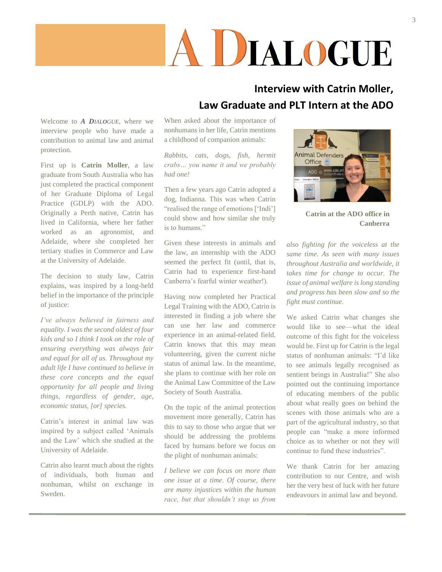# A DIALOGUE

### **Interview with Catrin Moller, Law Graduate and PLT Intern at the ADO**

Welcome to *A DIALOGUE*, where we interview people who have made a contribution to animal law and animal protection.

First up is **Catrin Moller**, a law graduate from South Australia who has just completed the practical component of her Graduate Diploma of Legal Practice (GDLP) with the ADO. Originally a Perth native, Catrin has lived in California, where her father worked as an agronomist, and Adelaide, where she completed her tertiary studies in Commerce and Law at the University of Adelaide.

The decision to study law, Catrin explains, was inspired by a long-held belief in the importance of the principle of justice:

*I've always believed in fairness and equality. I was the second oldest of four kids and so I think I took on the role of ensuring everything was always fair and equal for all of us. Throughout my adult life I have continued to believe in these core concepts and the equal opportunity for all people and living things, regardless of gender, age, economic status, [or] species.*

Catrin's interest in animal law was inspired by a subject called 'Animals and the Law' which she studied at the University of Adelaide.

Catrin also learnt much about the rights of individuals, both human and nonhuman, whilst on exchange in Sweden.

When asked about the importance of nonhumans in her life, Catrin mentions a childhood of companion animals:

*Rabbits, cats, dogs, fish, hermit crabs… you name it and we probably had one!*

Then a few years ago Catrin adopted a dog, Indianna. This was when Catrin "realised the range of emotions ['Indi'] could show and how similar she truly is to humans."

Given these interests in animals and the law, an internship with the ADO seemed the perfect fit (until, that is, Catrin had to experience first-hand Canberra's fearful winter weather!).

Having now completed her Practical Legal Training with the ADO, Catrin is interested in finding a job where she can use her law and commerce experience in an animal-related field. Catrin knows that this may mean volunteering, given the current niche status of animal law. In the meantime, she plans to continue with her role on the Animal Law Committee of the Law Society of South Australia.

On the topic of the animal protection movement more generally, Catrin has this to say to those who argue that we should be addressing the problems faced by humans before we focus on the plight of nonhuman animals:

*I believe we can focus on more than one issue at a time. Of course, there are many injustices within the human race, but that shouldn't stop us from*



**Catrin at the ADO office in Canberra**

*also fighting for the voiceless at the same time. As seen with many issues throughout Australia and worldwide, it takes time for change to occur. The issue of animal welfare is long standing and progress has been slow and so the fight must continue.* 

We asked Catrin what changes she would like to see—what the ideal outcome of this fight for the voiceless would be. First up for Catrin is the legal status of nonhuman animals: "I'd like to see animals legally recognised as sentient beings in Australia!" She also pointed out the continuing importance of educating members of the public about what really goes on behind the scenes with those animals who are a part of the agricultural industry, so that people can "make a more informed choice as to whether or not they will continue to fund these industries".

We thank Catrin for her amazing contribution to our Centre, and wish her the very best of luck with her future endeavours in animal law and beyond.